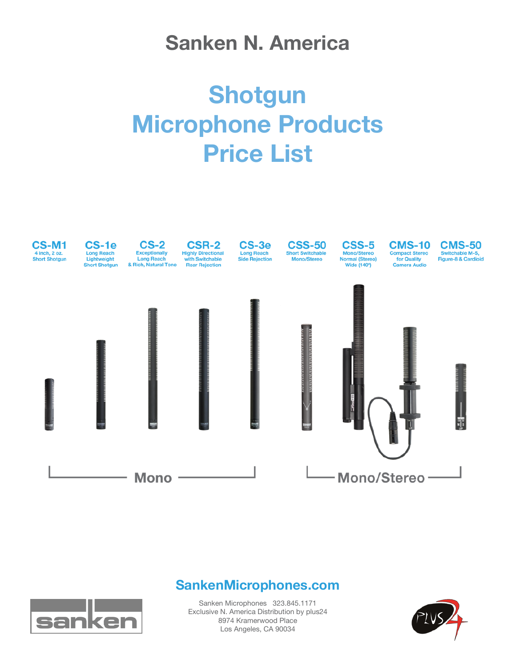## **Sanken N. America**

# **Shotgun Microphone Products Price List**



### **SankenMicrophones.com**



Sanken Microphones 323.845.1171 Exclusive N. America Distribution by plus24 8974 Kramerwood Place Los Angeles, CA 90034

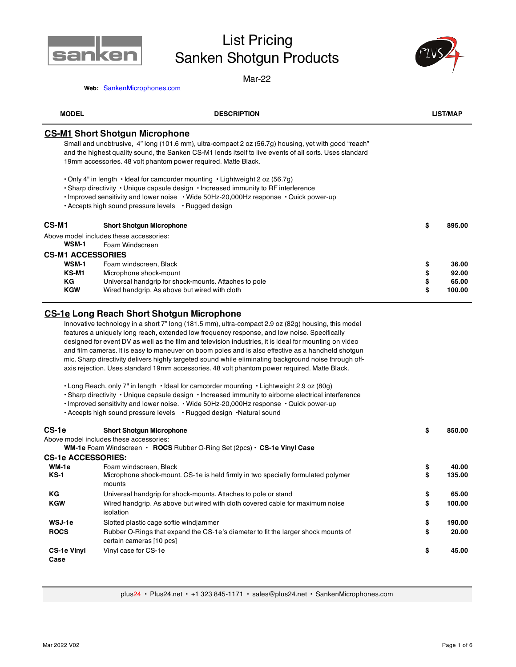



Mar-22

| Web: SankenMicrophones.com |
|----------------------------|
|                            |

| <b>MODEL</b>             | <b>DESCRIPTION</b>                                                                                                                                                                                                                                                                                                                                                                                                                                                                                                                                                                                                                                                                                  |    | <b>LIST/MAP</b> |
|--------------------------|-----------------------------------------------------------------------------------------------------------------------------------------------------------------------------------------------------------------------------------------------------------------------------------------------------------------------------------------------------------------------------------------------------------------------------------------------------------------------------------------------------------------------------------------------------------------------------------------------------------------------------------------------------------------------------------------------------|----|-----------------|
|                          | <b>CS-M1 Short Shotgun Microphone</b><br>Small and unobtrusive, 4" long (101.6 mm), ultra-compact 2 oz (56.7g) housing, yet with good "reach"<br>and the highest quality sound, the Sanken CS-M1 lends itself to live events of all sorts. Uses standard<br>19mm accessories. 48 volt phantom power required. Matte Black.<br>• Only 4" in length • Ideal for camcorder mounting • Lightweight 2 oz (56.7g)<br>$\cdot$ Sharp directivity $\cdot$ Unique capsule design $\cdot$ Increased immunity to RF interference<br>$\cdot$ Improved sensitivity and lower noise $\cdot$ Wide 50Hz-20,000Hz response $\cdot$ Quick power-up<br>$\cdot$ Accepts high sound pressure levels $\cdot$ Rugged design |    |                 |
| CS-M1                    | <b>Short Shotgun Microphone</b>                                                                                                                                                                                                                                                                                                                                                                                                                                                                                                                                                                                                                                                                     | S  | 895.00          |
| WSM-1                    | Above model includes these accessories:<br>Foam Windscreen                                                                                                                                                                                                                                                                                                                                                                                                                                                                                                                                                                                                                                          |    |                 |
| <b>CS-M1 ACCESSORIES</b> |                                                                                                                                                                                                                                                                                                                                                                                                                                                                                                                                                                                                                                                                                                     |    |                 |
| $WSM-1$                  | Foam windscreen, Black                                                                                                                                                                                                                                                                                                                                                                                                                                                                                                                                                                                                                                                                              | \$ | 36.00           |
| KS-M1                    | Microphone shock-mount                                                                                                                                                                                                                                                                                                                                                                                                                                                                                                                                                                                                                                                                              | \$ | 92.00           |
| ΚG                       | Universal handgrip for shock-mounts. Attaches to pole                                                                                                                                                                                                                                                                                                                                                                                                                                                                                                                                                                                                                                               | \$ | 65.00           |
| <b>KGW</b>               | Wired handgrip. As above but wired with cloth                                                                                                                                                                                                                                                                                                                                                                                                                                                                                                                                                                                                                                                       | \$ | 100.00          |
|                          |                                                                                                                                                                                                                                                                                                                                                                                                                                                                                                                                                                                                                                                                                                     |    |                 |

#### **CS-1e Long Reach Short Shotgun Microphone**

Innovative technology in a short 7" long (181.5 mm), ultra-compact 2.9 oz (82g) housing, this model features a uniquely long reach, extended low frequency response, and low noise. Specifically designed for event DV as well as the film and television industries, it is ideal for mounting on video and film cameras. It is easy to maneuver on boom poles and is also effective as a handheld shotgun mic. Sharp directivity delivers highly targeted sound while eliminating background noise through offaxis rejection. Uses standard 19mm accessories. 48 volt phantom power required. Matte Black.

| • Long Reach, only 7" in length • Ideal for camcorder mounting • Lightweight 2.9 oz (80g) |  |
|-------------------------------------------------------------------------------------------|--|
|                                                                                           |  |
|                                                                                           |  |

- Sharp directivity Unique capsule design Increased immunity to airborne electrical interference
- Improved sensitivity and lower noise. Wide 50Hz-20,000Hz response Quick power-up
- Accepts high sound pressure levels Rugged design •Natural sound

| $CS-1e$                    | <b>Short Shotgun Microphone</b>                                                                               | \$<br>850.00 |
|----------------------------|---------------------------------------------------------------------------------------------------------------|--------------|
|                            | Above model includes these accessories:                                                                       |              |
|                            | WM-1e Foam Windscreen • ROCS Rubber O-Ring Set (2pcs) • CS-1e Vinyl Case                                      |              |
| <b>CS-1e ACCESSORIES:</b>  |                                                                                                               |              |
| WM-1e                      | Foam windscreen, Black                                                                                        | \$<br>40.00  |
| $KS-1$                     | Microphone shock-mount. CS-1e is held firmly in two specially formulated polymer<br>mounts                    | \$<br>135.00 |
| КG                         | Universal handgrip for shock-mounts. Attaches to pole or stand                                                | \$<br>65.00  |
| <b>KGW</b>                 | Wired handgrip. As above but wired with cloth covered cable for maximum noise<br>isolation                    | \$<br>100.00 |
| WSJ-1e                     | Slotted plastic cage softie windjammer                                                                        | \$<br>190.00 |
| <b>ROCS</b>                | Rubber O-Rings that expand the CS-1e's diameter to fit the larger shock mounts of<br>certain cameras [10 pcs] | \$<br>20.00  |
| <b>CS-1e Vinyl</b><br>Case | Vinyl case for CS-1e                                                                                          | \$<br>45.00  |

plus24 • Plus24.net • +1 323 845-1171 • sales@plus24.net • SankenMicrophones.com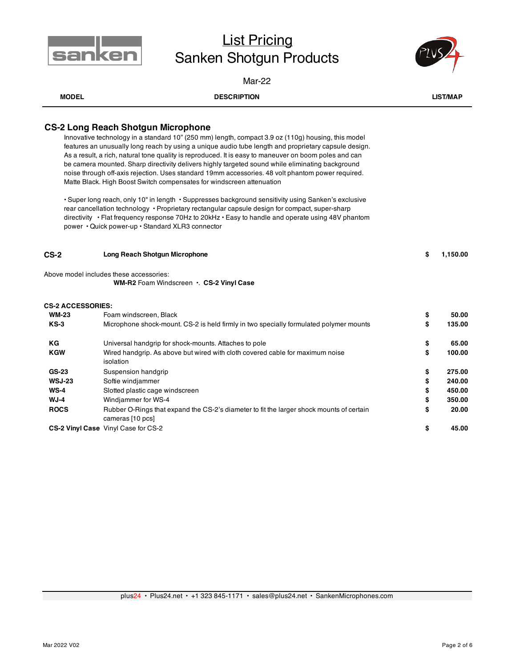



Mar-22

#### **MODEL DESCRIPTION LIST/MAP**

#### **CS-2 Long Reach Shotgun Microphone**

Innovative technology in a standard 10" (250 mm) length, compact 3.9 oz (110g) housing, this model features an unusually long reach by using a unique audio tube length and proprietary capsule design. As a result, a rich, natural tone quality is reproduced. It is easy to maneuver on boom poles and can be camera mounted. Sharp directivity delivers highly targeted sound while eliminating background noise through off-axis rejection. Uses standard 19mm accessories. 48 volt phantom power required. Matte Black. High Boost Switch compensates for windscreen attenuation

• Super long reach, only 10" in length • Suppresses background sensitivity using Sanken's exclusive rear cancellation technology • Proprietary rectangular capsule design for compact, super-sharp directivity • Flat frequency response 70Hz to 20kHz • Easy to handle and operate using 48V phantom power • Quick power-up • Standard XLR3 connector

| $CS-2$ | <b>Long Reach Shotgun Microphone</b> | \$1,150.00 |
|--------|--------------------------------------|------------|
|        |                                      |            |

**o** Above model includes these accessories: **W WM-R2** Foam Windscreen •. **CS-2 Vinyl Case**

#### **CS-2 ACCESSORIES:**

| <b>WM-23</b>  | Foam windscreen, Black                                                                                       | S  | 50.00  |
|---------------|--------------------------------------------------------------------------------------------------------------|----|--------|
| $KS-3$        | Microphone shock-mount. CS-2 is held firmly in two specially formulated polymer mounts                       | \$ | 135.00 |
| ΚG            | Universal handgrip for shock-mounts. Attaches to pole                                                        | S  | 65.00  |
| <b>KGW</b>    | Wired handgrip. As above but wired with cloth covered cable for maximum noise<br>isolation                   | S  | 100.00 |
| <b>GS-23</b>  | Suspension handgrip                                                                                          | \$ | 275.00 |
| <b>WSJ-23</b> | Softie windjammer                                                                                            | S  | 240.00 |
| $WS-4$        | Slotted plastic cage windscreen                                                                              | \$ | 450.00 |
| $WJ-4$        | Windjammer for WS-4                                                                                          | S  | 350.00 |
| <b>ROCS</b>   | Rubber O-Rings that expand the CS-2's diameter to fit the larger shock mounts of certain<br>cameras [10 pcs] | S  | 20.00  |
|               | CS-2 Vinyl Case Vinyl Case for CS-2                                                                          | S  | 45.00  |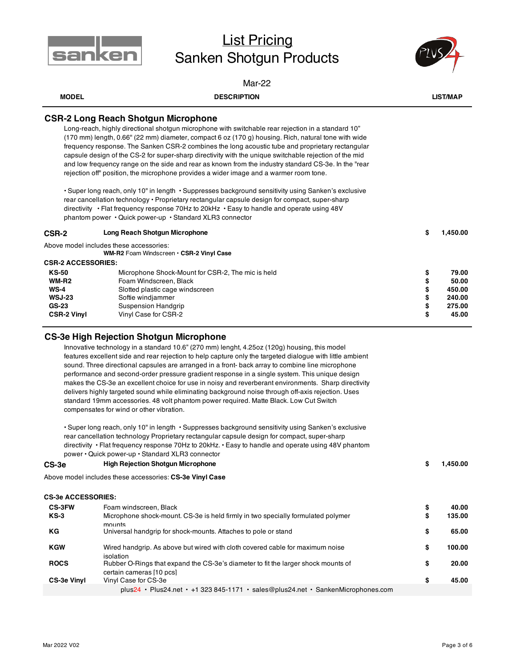



#### Mar-22

#### **MODEL Example 2** DESCRIPTION **Reserves A DESCRIPTION**

#### **CSR-2 Long Reach Shotgun Microphone**

Long-reach, highly directional shotgun microphone with switchable rear rejection in a standard 10" (170 mm) length, 0.66" (22 mm) diameter, compact 6 oz (170 g) housing. Rich, natural tone with wide frequency response. The Sanken CSR-2 combines the long acoustic tube and proprietary rectangular capsule design of the CS-2 for super-sharp directivity with the unique switchable rejection of the mid and low frequency range on the side and rear as known from the industry standard CS-3e. In the "rear rejection off" position, the microphone provides a wider image and a warmer room tone.

• Super long reach, only 10" in length • Suppresses background sensitivity using Sanken's exclusive rear cancellation technology • Proprietary rectangular capsule design for compact, super-sharp directivity • Flat frequency response 70Hz to 20kHz • Easy to handle and operate using 48V phantom power • Quick power-up • Standard XLR3 connector

| CSR-2                     | Long Reach Shotgun Microphone                     | S | 1.450.00 |
|---------------------------|---------------------------------------------------|---|----------|
|                           | Above model includes these accessories:           |   |          |
|                           | WM-R2 Foam Windscreen . CSR-2 Vinyl Case          |   |          |
| <b>CSR-2 ACCESSORIES:</b> |                                                   |   |          |
| <b>KS-50</b>              | Microphone Shock-Mount for CSR-2, The mic is held | S | 79.00    |
| WM-R2                     | Foam Windscreen, Black                            | e | 50.00    |
| <b>WS-4</b>               | Slotted plastic cage windscreen                   | S | 450.00   |
| <b>WSJ-23</b>             | Softie windjammer                                 | S | 240.00   |
| <b>GS-23</b>              | <b>Suspension Handgrip</b>                        | S | 275.00   |
| <b>CSR-2 Vinyl</b>        | Vinyl Case for CSR-2                              |   | 45.00    |

#### **CS-3e High Rejection Shotgun Microphone**

Innovative technology in a standard 10.6" (270 mm) lenght, 4.25oz (120g) housing, this model features excellent side and rear rejection to help capture only the targeted dialogue with little ambient sound. Three directional capsules are arranged in a front- back array to combine line microphone performance and second-order pressure gradient response in a single system. This unique design makes the CS-3e an excellent choice for use in noisy and reverberant environments. Sharp directivity delivers highly targeted sound while eliminating background noise through off-axis rejection. Uses standard 19mm accessories. 48 volt phantom power required. Matte Black. Low Cut Switch compensates for wind or other vibration.

• Super long reach, only 10" in length • Suppresses background sensitivity using Sanken's exclusive rear cancellation technology Proprietary rectangular capsule design for compact, super-sharp directivity • Flat frequency response 70Hz to 20kHz. • Easy to handle and operate using 48V phantom power • Quick power-up • Standard XLR3 connector

#### **CS-3e High Rejection Shotgun Microphone \$ 1,450.00**

Above model includes these accessories: **CS-3e Vinyl Case**

#### **CS-3e ACCESSORIES:**

**Case**

| oo-oc Aoocooonico. |                                                                                                               |   |        |
|--------------------|---------------------------------------------------------------------------------------------------------------|---|--------|
| CS-3FW             | Foam windscreen, Black                                                                                        | æ | 40.00  |
| $KS-3$             | Microphone shock-mount. CS-3e is held firmly in two specially formulated polymer<br>mounts                    | e | 135.00 |
| КG                 | Universal handgrip for shock-mounts. Attaches to pole or stand                                                |   | 65.00  |
| <b>KGW</b>         | Wired handgrip. As above but wired with cloth covered cable for maximum noise<br>isolation                    |   | 100.00 |
| <b>ROCS</b>        | Rubber O-Rings that expand the CS-3e's diameter to fit the larger shock mounts of<br>certain cameras [10 pcs] |   | 20.00  |
| CS-3e Vinyl        | Vinyl Case for CS-3e                                                                                          |   | 45.00  |
|                    | plus24 · Plus24.net · +1 323 845-1171 · sales@plus24.net · SankenMicrophones.com                              |   |        |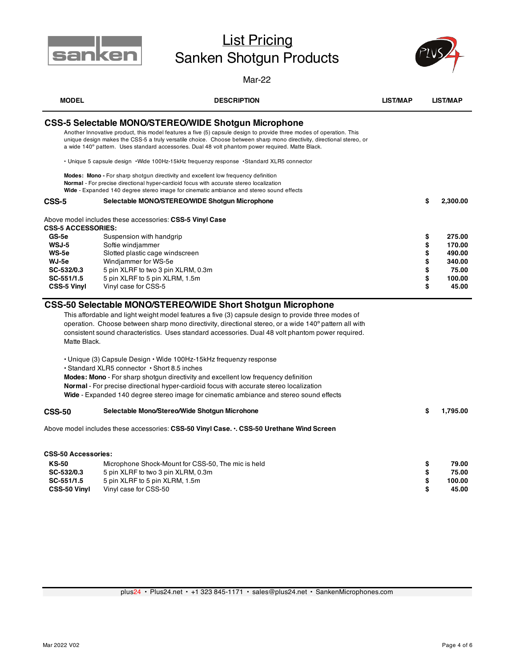



Mar-22

| <b>MODEL</b>                                                                       | <b>DESCRIPTION</b>                                                                                                                                                                                                                                                                                                                                                                                                 | LIST/MAP |                                        | LIST/MAP                                                         |
|------------------------------------------------------------------------------------|--------------------------------------------------------------------------------------------------------------------------------------------------------------------------------------------------------------------------------------------------------------------------------------------------------------------------------------------------------------------------------------------------------------------|----------|----------------------------------------|------------------------------------------------------------------|
|                                                                                    | <b>CSS-5 Selectable MONO/STEREO/WIDE Shotgun Microphone</b><br>Another Innovative product, this model features a five (5) capsule design to provide three modes of operation. This<br>unique design makes the CSS-5 a truly versatile choice. Choose between sharp mono directivity, directional stereo, or<br>a wide 140° pattern. Uses standard accessories. Dual 48 volt phantom power required. Matte Black.   |          |                                        |                                                                  |
|                                                                                    | • Unique 5 capsule design • Wide 100Hz-15kHz frequenzy response • Standard XLR5 connector                                                                                                                                                                                                                                                                                                                          |          |                                        |                                                                  |
|                                                                                    | <b>Modes: Mono</b> - For sharp shotgun directivity and excellent low frequency definition<br><b>Normal</b> - For precise directional hyper-cardioid focus with accurate stereo localization<br>Wide - Expanded 140 degree stereo image for cinematic ambiance and stereo sound effects                                                                                                                             |          |                                        |                                                                  |
| CSS-5                                                                              | Selectable MONO/STEREO/WIDE Shotgun Microphone                                                                                                                                                                                                                                                                                                                                                                     |          | \$                                     | 2,300.00                                                         |
| <b>CSS-5 ACCESSORIES:</b>                                                          | Above model includes these accessories: CSS-5 Vinyl Case                                                                                                                                                                                                                                                                                                                                                           |          |                                        |                                                                  |
| GS-5e<br>WSJ-5<br>WS-5e<br>WJ-5e<br>SC-532/0.3<br>SC-551/1.5<br><b>CSS-5 Vinyl</b> | Suspension with handgrip<br>Softie windjammer<br>Slotted plastic cage windscreen<br>Windjammer for WS-5e<br>5 pin XLRF to two 3 pin XLRM, 0.3m<br>5 pin XLRF to 5 pin XLRM, 1.5m<br>Vinyl case for CSS-5                                                                                                                                                                                                           |          | \$<br>\$<br>\$<br>\$<br>\$<br>\$<br>\$ | 275.00<br>170.00<br>490.00<br>340.00<br>75.00<br>100.00<br>45.00 |
| Matte Black.                                                                       | <b>CSS-50 Selectable MONO/STEREO/WIDE Short Shotgun Microphone</b><br>This affordable and light weight model features a five (3) capsule design to provide three modes of<br>operation. Choose between sharp mono directivity, directional stereo, or a wide 140° pattern all with<br>consistent sound characteristics. Uses standard accessories. Dual 48 volt phantom power required.                            |          |                                        |                                                                  |
|                                                                                    | · Unique (3) Capsule Design · Wide 100Hz-15kHz frequenzy response<br>• Standard XLR5 connector • Short 8.5 inches<br><b>Modes: Mono</b> - For sharp shotgun directivity and excellent low frequency definition<br><b>Normal</b> - For precise directional hyper-cardioid focus with accurate stereo localization<br><b>Wide</b> - Expanded 140 degree stereo image for cinematic ambiance and stereo sound effects |          |                                        |                                                                  |
| <b>CSS-50</b>                                                                      | Selectable Mono/Stereo/Wide Shotgun Microhone                                                                                                                                                                                                                                                                                                                                                                      |          | \$                                     | 1,795.00                                                         |
|                                                                                    | Above model includes these accessories: CSS-50 Vinyl Case. •. CSS-50 Urethane Wind Screen                                                                                                                                                                                                                                                                                                                          |          |                                        |                                                                  |
| <b>CSS-50 Accessories:</b>                                                         |                                                                                                                                                                                                                                                                                                                                                                                                                    |          |                                        |                                                                  |
| <b>KS-50</b><br>SC-532/0.3<br>$SC-551/1.5$<br>CSS-50 Vinvl                         | Microphone Shock-Mount for CSS-50, The mic is held<br>5 pin XLRF to two 3 pin XLRM, 0.3m<br>5 pin XLRF to 5 pin XLRM, 1.5m<br>Vinyl case for CSS-50                                                                                                                                                                                                                                                                |          | \$<br>\$<br>\$<br>\$                   | 79.00<br>75.00<br>100.00<br>45.00                                |

plus 24 • Plus 24.net • +1 323 845-1171 • sales@plus 24.net • Sanken Microphones.com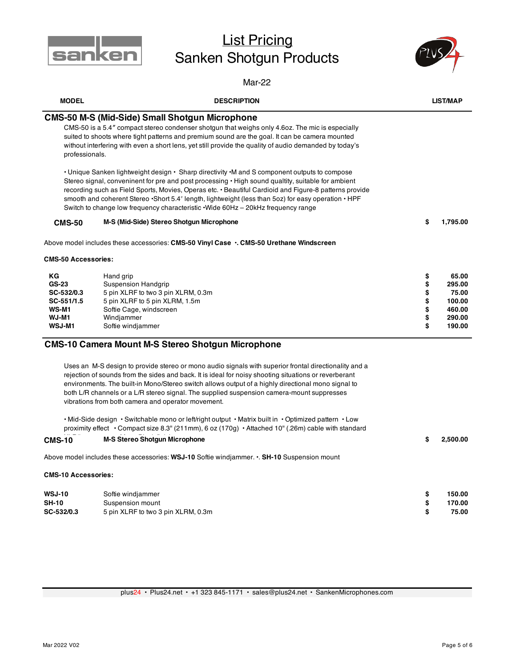



#### Mar-22

| <b>MODEL</b>                                                                 | <b>DESCRIPTION</b>                                                                                                                                                                                                                                                                                                                                                                                                                                                                                                     |                                        | LIST/MAP                                                         |
|------------------------------------------------------------------------------|------------------------------------------------------------------------------------------------------------------------------------------------------------------------------------------------------------------------------------------------------------------------------------------------------------------------------------------------------------------------------------------------------------------------------------------------------------------------------------------------------------------------|----------------------------------------|------------------------------------------------------------------|
| professionals.                                                               | <b>CMS-50 M-S (Mid-Side) Small Shotgun Microphone</b><br>CMS-50 is a 5.4" compact stereo condenser shotgun that weighs only 4.6oz. The mic is especially<br>suited to shoots where tight patterns and premium sound are the goal. It can be camera mounted<br>without interfering with even a short lens, yet still provide the quality of audio demanded by today's                                                                                                                                                   |                                        |                                                                  |
|                                                                              | • Unique Sanken lightweight design • Sharp directivity • M and S component outputs to compose<br>Stereo signal, conveninent for pre and post processing • High sound qualtity, suitable for ambient<br>recording such as Field Sports, Movies, Operas etc. • Beautiful Cardioid and Figure-8 patterns provide<br>smooth and coherent Stereo $\cdot$ Short 5.4" length, lightweight (less than 5oz) for easy operation $\cdot$ HPF<br>Switch to change low frequency characteristic . Wide 60Hz - 20kHz frequency range |                                        |                                                                  |
| <b>CMS-50</b>                                                                | M-S (Mid-Side) Stereo Shotgun Microphone                                                                                                                                                                                                                                                                                                                                                                                                                                                                               | \$                                     | 1,795.00                                                         |
|                                                                              | Above model includes these accessories: CMS-50 Vinyl Case . CMS-50 Urethane Windscreen                                                                                                                                                                                                                                                                                                                                                                                                                                 |                                        |                                                                  |
| <b>CMS-50 Accessories:</b>                                                   |                                                                                                                                                                                                                                                                                                                                                                                                                                                                                                                        |                                        |                                                                  |
| ΚG<br><b>GS-23</b><br>SC-532/0.3<br>$SC-551/1.5$<br>WS-M1<br>WJ-M1<br>WSJ-M1 | Hand grip<br>Suspension Handgrip<br>5 pin XLRF to two 3 pin XLRM, 0.3m<br>5 pin XLRF to 5 pin XLRM, 1.5m<br>Softie Cage, windscreen<br>Windjammer<br>Softie windjammer                                                                                                                                                                                                                                                                                                                                                 | \$<br>\$<br>\$<br>\$<br>\$<br>\$<br>\$ | 65.00<br>295.00<br>75.00<br>100.00<br>460.00<br>290.00<br>190.00 |
|                                                                              | <b>CMS-10 Camera Mount M-S Stereo Shotgun Microphone</b><br>Uses an M-S design to provide stereo or mono audio signals with superior frontal directionality and a<br>rejection of sounds from the sides and back. It is ideal for noisy shooting situations or reverberant<br>environments. The built-in Mono/Stereo switch allows output of a highly directional mono signal to                                                                                                                                       |                                        |                                                                  |
|                                                                              | both L/R channels or a L/R stereo signal. The supplied suspension camera-mount suppresses<br>vibrations from both camera and operator movement.                                                                                                                                                                                                                                                                                                                                                                        |                                        |                                                                  |
|                                                                              | · Mid-Side design · Switchable mono or left/right output · Matrix built in · Optimized pattern · Low<br>proximity effect • Compact size 8.3" (211mm), 6 oz (170g) • Attached 10" (.26m) cable with standard                                                                                                                                                                                                                                                                                                            |                                        |                                                                  |
| <b>CMS-10</b>                                                                | <b>M-S Stereo Shotgun Microphone</b>                                                                                                                                                                                                                                                                                                                                                                                                                                                                                   | \$                                     | 2,500.00                                                         |
|                                                                              | Above model includes these accessories: WSJ-10 Softie windjammer. • SH-10 Suspension mount                                                                                                                                                                                                                                                                                                                                                                                                                             |                                        |                                                                  |
| <b>CMS-10 Accessories:</b>                                                   |                                                                                                                                                                                                                                                                                                                                                                                                                                                                                                                        |                                        |                                                                  |
| <b>WSJ-10</b><br><b>SH-10</b><br>SC-532/0.3                                  | Softie windjammer<br>Suspension mount<br>5 pin XLRF to two 3 pin XLRM, 0.3m                                                                                                                                                                                                                                                                                                                                                                                                                                            | \$<br>\$<br>\$                         | 150.00<br>170.00<br>75.00                                        |